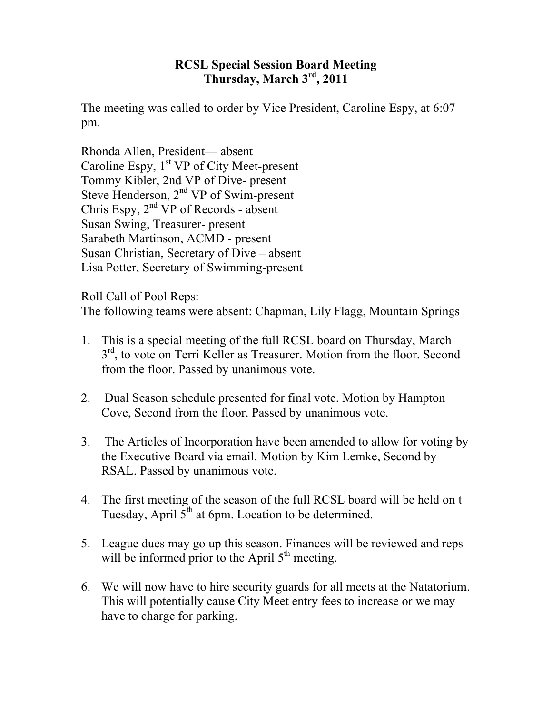## **RCSL Special Session Board Meeting Thursday, March 3rd, 2011**

The meeting was called to order by Vice President, Caroline Espy, at 6:07 pm.

Rhonda Allen, President— absent Caroline Espy,  $1<sup>st</sup> VP$  of City Meet-present Tommy Kibler, 2nd VP of Dive- present Steve Henderson,  $2<sup>nd</sup> VP$  of Swim-present Chris Espy,  $2^{nd}$  VP of Records - absent Susan Swing, Treasurer- present Sarabeth Martinson, ACMD - present Susan Christian, Secretary of Dive – absent Lisa Potter, Secretary of Swimming-present

Roll Call of Pool Reps:

The following teams were absent: Chapman, Lily Flagg, Mountain Springs

- 1. This is a special meeting of the full RCSL board on Thursday, March  $3<sup>rd</sup>$ , to vote on Terri Keller as Treasurer. Motion from the floor. Second from the floor. Passed by unanimous vote.
- 2. Dual Season schedule presented for final vote. Motion by Hampton Cove, Second from the floor. Passed by unanimous vote.
- 3. The Articles of Incorporation have been amended to allow for voting by the Executive Board via email. Motion by Kim Lemke, Second by RSAL. Passed by unanimous vote.
- 4. The first meeting of the season of the full RCSL board will be held on t Tuesday, April  $5<sup>th</sup>$  at 6pm. Location to be determined.
- 5. League dues may go up this season. Finances will be reviewed and reps will be informed prior to the April  $5<sup>th</sup>$  meeting.
- 6. We will now have to hire security guards for all meets at the Natatorium. This will potentially cause City Meet entry fees to increase or we may have to charge for parking.